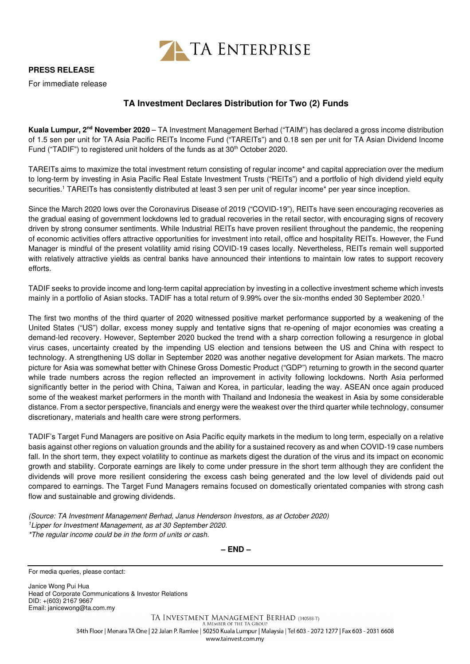

## **PRESS RELEASE**

For immediate release

## **TA Investment Declares Distribution for Two (2) Funds**

**Kuala Lumpur, 2nd November 2020** – TA Investment Management Berhad ("TAIM") has declared a gross income distribution of 1.5 sen per unit for TA Asia Pacific REITs Income Fund ("TAREITs") and 0.18 sen per unit for TA Asian Dividend Income Fund ("TADIF") to registered unit holders of the funds as at 30<sup>th</sup> October 2020.

TAREITs aims to maximize the total investment return consisting of regular income\* and capital appreciation over the medium to long-term by investing in Asia Pacific Real Estate Investment Trusts ("REITs") and a portfolio of high dividend yield equity securities.<sup>1</sup> TAREITs has consistently distributed at least 3 sen per unit of regular income\* per year since inception.

Since the March 2020 lows over the Coronavirus Disease of 2019 ("COVID-19"), REITs have seen encouraging recoveries as the gradual easing of government lockdowns led to gradual recoveries in the retail sector, with encouraging signs of recovery driven by strong consumer sentiments. While Industrial REITs have proven resilient throughout the pandemic, the reopening of economic activities offers attractive opportunities for investment into retail, office and hospitality REITs. However, the Fund Manager is mindful of the present volatility amid rising COVID-19 cases locally. Nevertheless, REITs remain well supported with relatively attractive yields as central banks have announced their intentions to maintain low rates to support recovery efforts.

TADIF seeks to provide income and long-term capital appreciation by investing in a collective investment scheme which invests mainly in a portfolio of Asian stocks. TADIF has a total return of 9.99% over the six-months ended 30 September 2020.<sup>1</sup>

The first two months of the third quarter of 2020 witnessed positive market performance supported by a weakening of the United States ("US") dollar, excess money supply and tentative signs that re-opening of major economies was creating a demand-led recovery. However, September 2020 bucked the trend with a sharp correction following a resurgence in global virus cases, uncertainty created by the impending US election and tensions between the US and China with respect to technology. A strengthening US dollar in September 2020 was another negative development for Asian markets. The macro picture for Asia was somewhat better with Chinese Gross Domestic Product ("GDP") returning to growth in the second quarter while trade numbers across the region reflected an improvement in activity following lockdowns. North Asia performed significantly better in the period with China, Taiwan and Korea, in particular, leading the way. ASEAN once again produced some of the weakest market performers in the month with Thailand and Indonesia the weakest in Asia by some considerable distance. From a sector perspective, financials and energy were the weakest over the third quarter while technology, consumer discretionary, materials and health care were strong performers.

TADIF's Target Fund Managers are positive on Asia Pacific equity markets in the medium to long term, especially on a relative basis against other regions on valuation grounds and the ability for a sustained recovery as and when COVID-19 case numbers fall. In the short term, they expect volatility to continue as markets digest the duration of the virus and its impact on economic growth and stability. Corporate earnings are likely to come under pressure in the short term although they are confident the dividends will prove more resilient considering the excess cash being generated and the low level of dividends paid out compared to earnings. The Target Fund Managers remains focused on domestically orientated companies with strong cash flow and sustainable and growing dividends.

(Source: TA Investment Management Berhad, Janus Henderson Investors, as at October 2020) <sup>1</sup>Lipper for Investment Management, as at 30 September 2020. \*The regular income could be in the form of units or cash.

**– END –**

For media queries, please contact:

Janice Wong Pui Hua Head of Corporate Communications & Investor Relations DID: +(603) 2167 9667 Email: janicewong@ta.com.my

> TA INVESTMENT MANAGEMENT BERHAD (340588-T) A MEMBER OF THE TA GROUP 34th Floor | Menara TA One | 22 Jalan P. Ramlee | 50250 Kuala Lumpur | Malaysia | Tel 603 - 2072 1277 | Fax 603 - 2031 6608 www.tainvest.com.mv